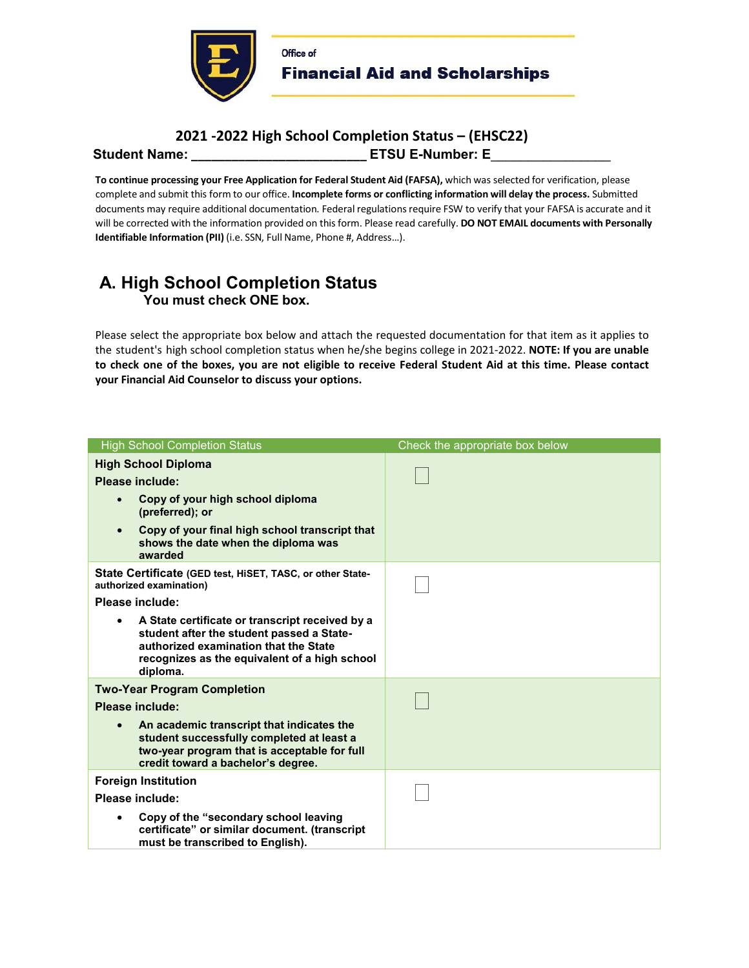

## **2021 -2022 High School Completion Status – (EHSC22) Student Name: \_\_\_\_\_\_\_\_\_\_\_\_\_\_\_\_\_\_\_\_\_\_\_\_\_\_ ETSU E-Number: E**\_\_\_\_\_\_\_\_\_\_\_\_\_\_\_\_

**To continue processing your Free Application for Federal Student Aid (FAFSA),** which was selected for verification, please complete and submit this form to our office. **Incomplete forms or conflicting information will delay the process.** Submitted documents may require additional documentation. Federal regulations require FSW to verify that your FAFSA is accurate and it will be corrected with the information provided on this form. Please read carefully. **DO NOT EMAIL documents with Personally Identifiable Information (PII)** (i.e. SSN, Full Name, Phone #, Address…).

## **A. High School Completion Status You must check ONE box.**

Please select the appropriate box below and attach the requested documentation for that item as it applies to the student's high school completion status when he/she begins college in 2021-2022. **NOTE: If you are unable to check one of the boxes, you are not eligible to receive Federal Student Aid at this time. Please contact your Financial Aid Counselor to discuss your options.** 

| <b>High School Completion Status</b>                                                                                                                                                                            | Check the appropriate box below |
|-----------------------------------------------------------------------------------------------------------------------------------------------------------------------------------------------------------------|---------------------------------|
| <b>High School Diploma</b><br>Please include:                                                                                                                                                                   |                                 |
| Copy of your high school diploma<br>$\bullet$<br>(preferred); or                                                                                                                                                |                                 |
| Copy of your final high school transcript that<br>$\bullet$<br>shows the date when the diploma was<br>awarded                                                                                                   |                                 |
| State Certificate (GED test, HiSET, TASC, or other State-<br>authorized examination)                                                                                                                            |                                 |
| Please include:                                                                                                                                                                                                 |                                 |
| A State certificate or transcript received by a<br>$\bullet$<br>student after the student passed a State-<br>authorized examination that the State<br>recognizes as the equivalent of a high school<br>diploma. |                                 |
| <b>Two-Year Program Completion</b>                                                                                                                                                                              |                                 |
| Please include:                                                                                                                                                                                                 |                                 |
| An academic transcript that indicates the<br>student successfully completed at least a<br>two-year program that is acceptable for full<br>credit toward a bachelor's degree.                                    |                                 |
| <b>Foreign Institution</b>                                                                                                                                                                                      |                                 |
| Please include:                                                                                                                                                                                                 |                                 |
| Copy of the "secondary school leaving<br>certificate" or similar document. (transcript<br>must be transcribed to English).                                                                                      |                                 |